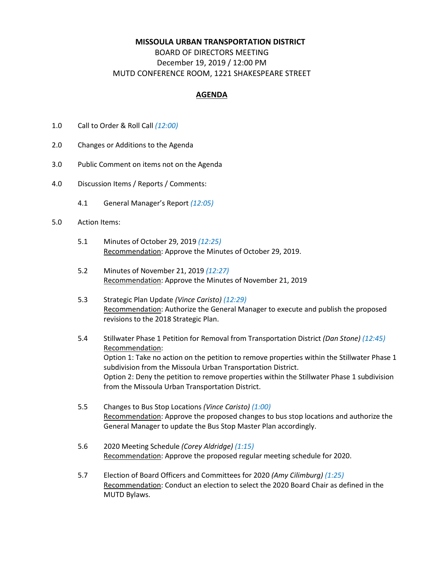## **MISSOULA URBAN TRANSPORTATION DISTRICT**

## BOARD OF DIRECTORS MEETING December 19, 2019 / 12:00 PM MUTD CONFERENCE ROOM, 1221 SHAKESPEARE STREET

## **AGENDA**

- 1.0 Call to Order & Roll Call *(12:00)*
- 2.0 Changes or Additions to the Agenda
- 3.0 Public Comment on items not on the Agenda
- 4.0 Discussion Items / Reports / Comments:
	- 4.1 General Manager's Report *(12:05)*
- 5.0 Action Items:
	- 5.1 Minutes of October 29, 2019 *(12:25)* Recommendation: Approve the Minutes of October 29, 2019.
	- 5.2 Minutes of November 21, 2019 *(12:27)* Recommendation: Approve the Minutes of November 21, 2019
	- 5.3 Strategic Plan Update *(Vince Caristo) (12:29)* Recommendation: Authorize the General Manager to execute and publish the proposed revisions to the 2018 Strategic Plan.
	- 5.4 Stillwater Phase 1 Petition for Removal from Transportation District *(Dan Stone) (12:45)* Recommendation: Option 1: Take no action on the petition to remove properties within the Stillwater Phase 1 subdivision from the Missoula Urban Transportation District. Option 2: Deny the petition to remove properties within the Stillwater Phase 1 subdivision from the Missoula Urban Transportation District.
	- 5.5 Changes to Bus Stop Locations *(Vince Caristo) (1:00)* Recommendation: Approve the proposed changes to bus stop locations and authorize the General Manager to update the Bus Stop Master Plan accordingly.
	- 5.6 2020 Meeting Schedule *(Corey Aldridge) (1:15)* Recommendation: Approve the proposed regular meeting schedule for 2020.
	- 5.7 Election of Board Officers and Committees for 2020 *(Amy Cilimburg) (1:25)* Recommendation: Conduct an election to select the 2020 Board Chair as defined in the MUTD Bylaws.